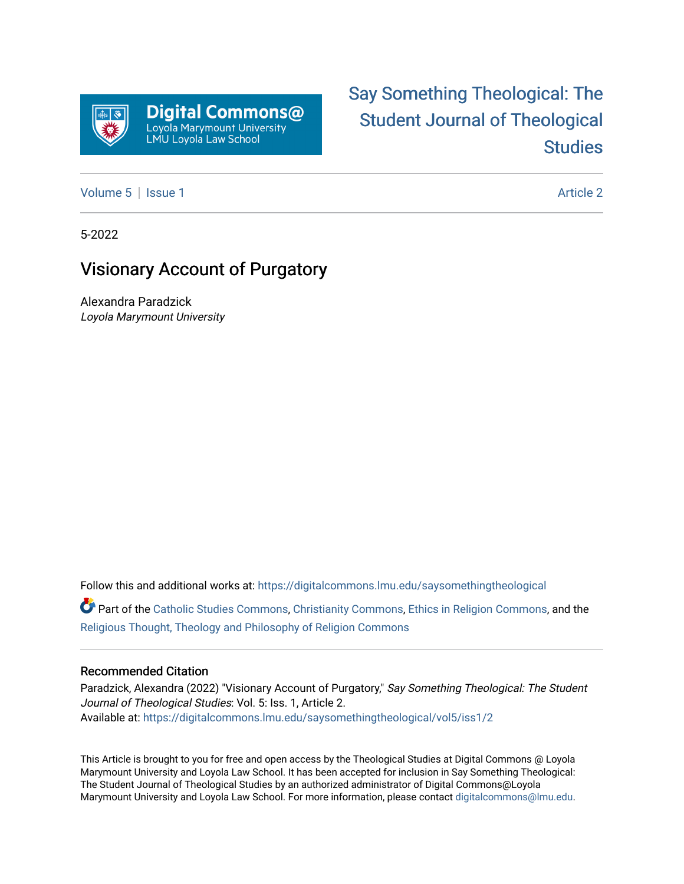

# [Say Something Theological: The](https://digitalcommons.lmu.edu/saysomethingtheological)  [Student Journal of Theological](https://digitalcommons.lmu.edu/saysomethingtheological)  **Studies**

[Volume 5](https://digitalcommons.lmu.edu/saysomethingtheological/vol5) | [Issue 1](https://digitalcommons.lmu.edu/saysomethingtheological/vol5/iss1) Article 2

5-2022

## Visionary Account of Purgatory

Alexandra Paradzick Loyola Marymount University

Follow this and additional works at: [https://digitalcommons.lmu.edu/saysomethingtheological](https://digitalcommons.lmu.edu/saysomethingtheological?utm_source=digitalcommons.lmu.edu%2Fsaysomethingtheological%2Fvol5%2Fiss1%2F2&utm_medium=PDF&utm_campaign=PDFCoverPages)

Part of the [Catholic Studies Commons](http://network.bepress.com/hgg/discipline/1294?utm_source=digitalcommons.lmu.edu%2Fsaysomethingtheological%2Fvol5%2Fiss1%2F2&utm_medium=PDF&utm_campaign=PDFCoverPages), [Christianity Commons](http://network.bepress.com/hgg/discipline/1181?utm_source=digitalcommons.lmu.edu%2Fsaysomethingtheological%2Fvol5%2Fiss1%2F2&utm_medium=PDF&utm_campaign=PDFCoverPages), [Ethics in Religion Commons,](http://network.bepress.com/hgg/discipline/541?utm_source=digitalcommons.lmu.edu%2Fsaysomethingtheological%2Fvol5%2Fiss1%2F2&utm_medium=PDF&utm_campaign=PDFCoverPages) and the [Religious Thought, Theology and Philosophy of Religion Commons](http://network.bepress.com/hgg/discipline/544?utm_source=digitalcommons.lmu.edu%2Fsaysomethingtheological%2Fvol5%2Fiss1%2F2&utm_medium=PDF&utm_campaign=PDFCoverPages) 

#### Recommended Citation

Paradzick, Alexandra (2022) "Visionary Account of Purgatory," Say Something Theological: The Student Journal of Theological Studies: Vol. 5: Iss. 1, Article 2. Available at: [https://digitalcommons.lmu.edu/saysomethingtheological/vol5/iss1/2](https://digitalcommons.lmu.edu/saysomethingtheological/vol5/iss1/2?utm_source=digitalcommons.lmu.edu%2Fsaysomethingtheological%2Fvol5%2Fiss1%2F2&utm_medium=PDF&utm_campaign=PDFCoverPages) 

This Article is brought to you for free and open access by the Theological Studies at Digital Commons @ Loyola Marymount University and Loyola Law School. It has been accepted for inclusion in Say Something Theological: The Student Journal of Theological Studies by an authorized administrator of Digital Commons@Loyola Marymount University and Loyola Law School. For more information, please contact [digitalcommons@lmu.edu](mailto:digitalcommons@lmu.edu).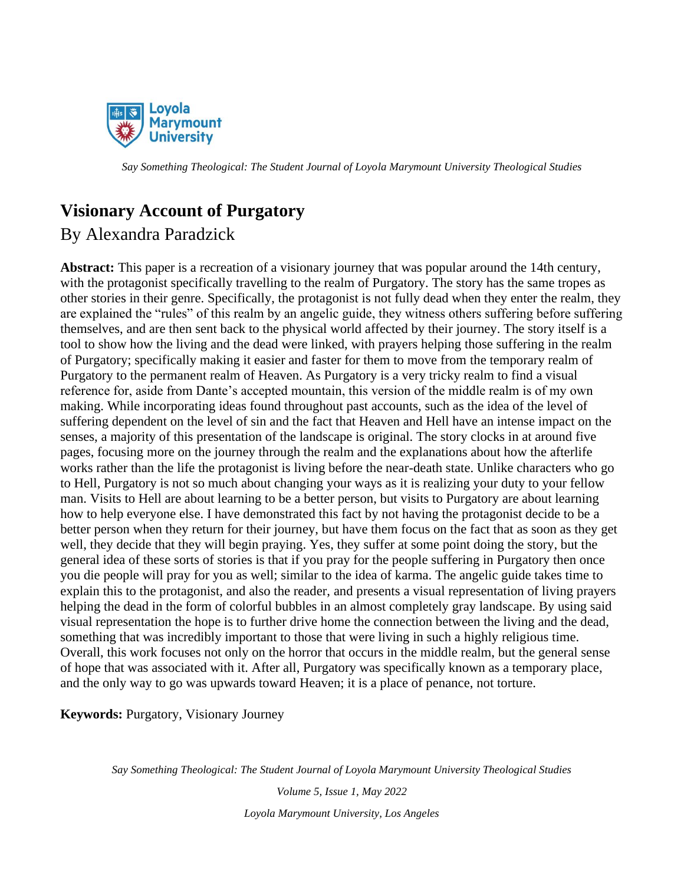

### **Visionary Account of Purgatory**

### By Alexandra Paradzick

**Abstract:** This paper is a recreation of a visionary journey that was popular around the 14th century, with the protagonist specifically travelling to the realm of Purgatory. The story has the same tropes as other stories in their genre. Specifically, the protagonist is not fully dead when they enter the realm, they are explained the "rules" of this realm by an angelic guide, they witness others suffering before suffering themselves, and are then sent back to the physical world affected by their journey. The story itself is a tool to show how the living and the dead were linked, with prayers helping those suffering in the realm of Purgatory; specifically making it easier and faster for them to move from the temporary realm of Purgatory to the permanent realm of Heaven. As Purgatory is a very tricky realm to find a visual reference for, aside from Dante's accepted mountain, this version of the middle realm is of my own making. While incorporating ideas found throughout past accounts, such as the idea of the level of suffering dependent on the level of sin and the fact that Heaven and Hell have an intense impact on the senses, a majority of this presentation of the landscape is original. The story clocks in at around five pages, focusing more on the journey through the realm and the explanations about how the afterlife works rather than the life the protagonist is living before the near-death state. Unlike characters who go to Hell, Purgatory is not so much about changing your ways as it is realizing your duty to your fellow man. Visits to Hell are about learning to be a better person, but visits to Purgatory are about learning how to help everyone else. I have demonstrated this fact by not having the protagonist decide to be a better person when they return for their journey, but have them focus on the fact that as soon as they get well, they decide that they will begin praying. Yes, they suffer at some point doing the story, but the general idea of these sorts of stories is that if you pray for the people suffering in Purgatory then once you die people will pray for you as well; similar to the idea of karma. The angelic guide takes time to explain this to the protagonist, and also the reader, and presents a visual representation of living prayers helping the dead in the form of colorful bubbles in an almost completely gray landscape. By using said visual representation the hope is to further drive home the connection between the living and the dead, something that was incredibly important to those that were living in such a highly religious time. Overall, this work focuses not only on the horror that occurs in the middle realm, but the general sense of hope that was associated with it. After all, Purgatory was specifically known as a temporary place, and the only way to go was upwards toward Heaven; it is a place of penance, not torture.

**Keywords:** Purgatory, Visionary Journey

*Say Something Theological: The Student Journal of Loyola Marymount University Theological Studies*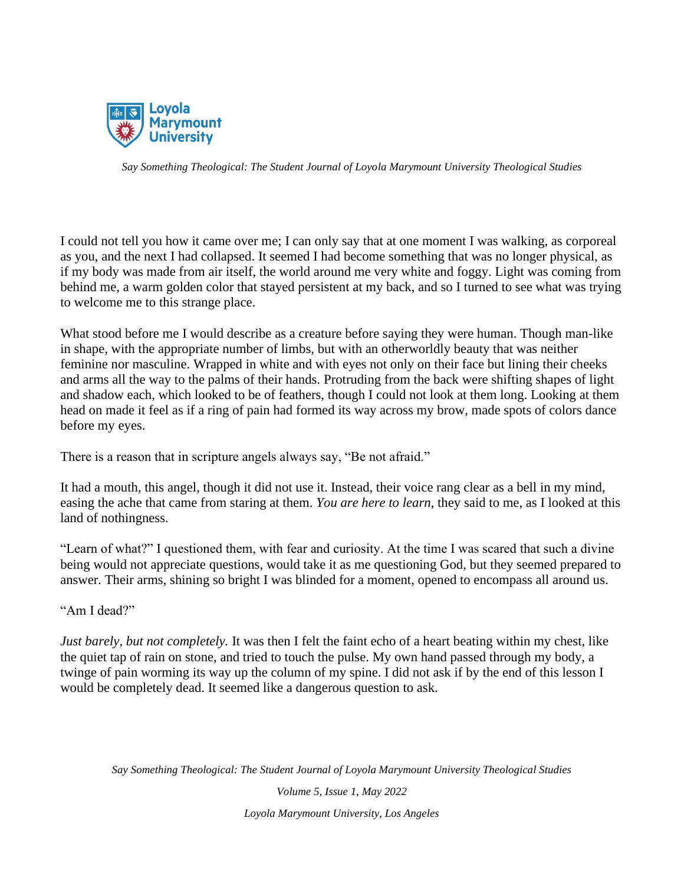

I could not tell you how it came over me; I can only say that at one moment I was walking, as corporeal as you, and the next I had collapsed. It seemed I had become something that was no longer physical, as if my body was made from air itself, the world around me very white and foggy. Light was coming from behind me, a warm golden color that stayed persistent at my back, and so I turned to see what was trying to welcome me to this strange place.

What stood before me I would describe as a creature before saying they were human. Though man-like in shape, with the appropriate number of limbs, but with an otherworldly beauty that was neither feminine nor masculine. Wrapped in white and with eyes not only on their face but lining their cheeks and arms all the way to the palms of their hands. Protruding from the back were shifting shapes of light and shadow each, which looked to be of feathers, though I could not look at them long. Looking at them head on made it feel as if a ring of pain had formed its way across my brow, made spots of colors dance before my eyes.

There is a reason that in scripture angels always say, "Be not afraid."

It had a mouth, this angel, though it did not use it. Instead, their voice rang clear as a bell in my mind, easing the ache that came from staring at them. *You are here to learn*, they said to me, as I looked at this land of nothingness.

"Learn of what?" I questioned them, with fear and curiosity. At the time I was scared that such a divine being would not appreciate questions, would take it as me questioning God, but they seemed prepared to answer. Their arms, shining so bright I was blinded for a moment, opened to encompass all around us.

"Am I dead?"

*Just barely, but not completely.* It was then I felt the faint echo of a heart beating within my chest, like the quiet tap of rain on stone, and tried to touch the pulse. My own hand passed through my body, a twinge of pain worming its way up the column of my spine. I did not ask if by the end of this lesson I would be completely dead. It seemed like a dangerous question to ask.

*Say Something Theological: The Student Journal of Loyola Marymount University Theological Studies*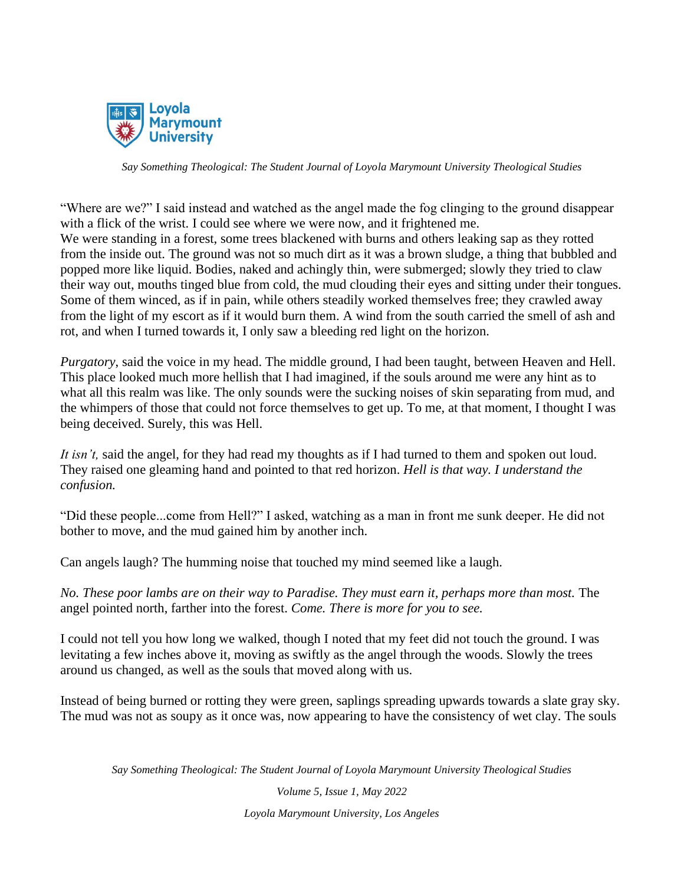

"Where are we?" I said instead and watched as the angel made the fog clinging to the ground disappear with a flick of the wrist. I could see where we were now, and it frightened me. We were standing in a forest, some trees blackened with burns and others leaking sap as they rotted from the inside out. The ground was not so much dirt as it was a brown sludge, a thing that bubbled and popped more like liquid. Bodies, naked and achingly thin, were submerged; slowly they tried to claw their way out, mouths tinged blue from cold, the mud clouding their eyes and sitting under their tongues. Some of them winced, as if in pain, while others steadily worked themselves free; they crawled away from the light of my escort as if it would burn them. A wind from the south carried the smell of ash and rot, and when I turned towards it, I only saw a bleeding red light on the horizon.

*Purgatory*, said the voice in my head. The middle ground, I had been taught, between Heaven and Hell. This place looked much more hellish that I had imagined, if the souls around me were any hint as to what all this realm was like. The only sounds were the sucking noises of skin separating from mud, and the whimpers of those that could not force themselves to get up. To me, at that moment, I thought I was being deceived. Surely, this was Hell.

*It isn't,* said the angel, for they had read my thoughts as if I had turned to them and spoken out loud. They raised one gleaming hand and pointed to that red horizon. *Hell is that way. I understand the confusion.* 

"Did these people...come from Hell?" I asked, watching as a man in front me sunk deeper. He did not bother to move, and the mud gained him by another inch.

Can angels laugh? The humming noise that touched my mind seemed like a laugh.

*No. These poor lambs are on their way to Paradise. They must earn it, perhaps more than most.* The angel pointed north, farther into the forest. *Come. There is more for you to see.* 

I could not tell you how long we walked, though I noted that my feet did not touch the ground. I was levitating a few inches above it, moving as swiftly as the angel through the woods. Slowly the trees around us changed, as well as the souls that moved along with us.

Instead of being burned or rotting they were green, saplings spreading upwards towards a slate gray sky. The mud was not as soupy as it once was, now appearing to have the consistency of wet clay. The souls

*Say Something Theological: The Student Journal of Loyola Marymount University Theological Studies*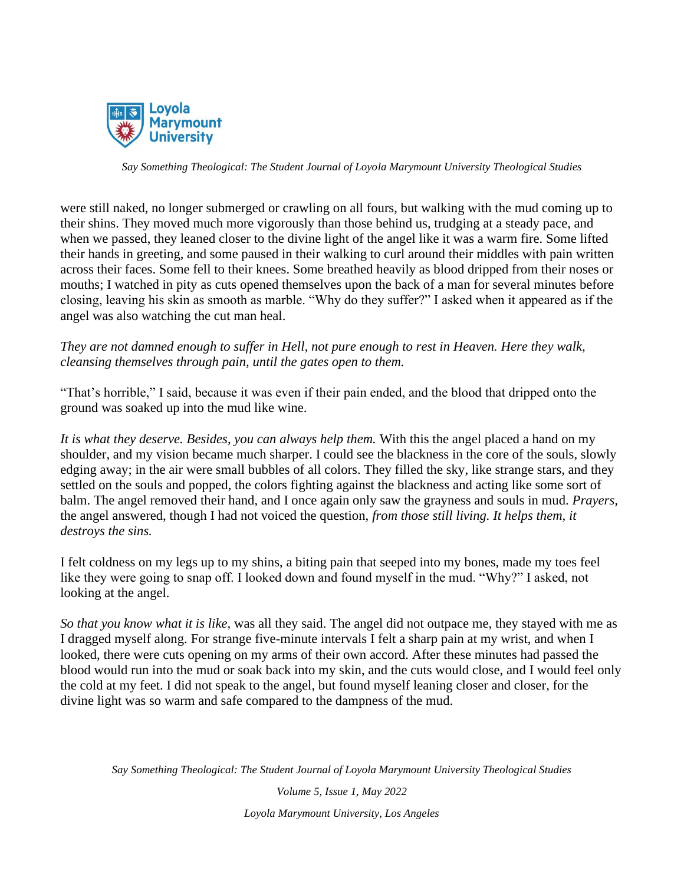

were still naked, no longer submerged or crawling on all fours, but walking with the mud coming up to their shins. They moved much more vigorously than those behind us, trudging at a steady pace, and when we passed, they leaned closer to the divine light of the angel like it was a warm fire. Some lifted their hands in greeting, and some paused in their walking to curl around their middles with pain written across their faces. Some fell to their knees. Some breathed heavily as blood dripped from their noses or mouths; I watched in pity as cuts opened themselves upon the back of a man for several minutes before closing, leaving his skin as smooth as marble. "Why do they suffer?" I asked when it appeared as if the angel was also watching the cut man heal.

#### *They are not damned enough to suffer in Hell, not pure enough to rest in Heaven. Here they walk, cleansing themselves through pain, until the gates open to them.*

"That's horrible," I said, because it was even if their pain ended, and the blood that dripped onto the ground was soaked up into the mud like wine.

*It is what they deserve. Besides, you can always help them.* With this the angel placed a hand on my shoulder, and my vision became much sharper. I could see the blackness in the core of the souls, slowly edging away; in the air were small bubbles of all colors. They filled the sky, like strange stars, and they settled on the souls and popped, the colors fighting against the blackness and acting like some sort of balm. The angel removed their hand, and I once again only saw the grayness and souls in mud. *Prayers,*  the angel answered, though I had not voiced the question, *from those still living. It helps them, it destroys the sins.* 

I felt coldness on my legs up to my shins, a biting pain that seeped into my bones, made my toes feel like they were going to snap off. I looked down and found myself in the mud. "Why?" I asked, not looking at the angel.

*So that you know what it is like,* was all they said. The angel did not outpace me, they stayed with me as I dragged myself along. For strange five-minute intervals I felt a sharp pain at my wrist, and when I looked, there were cuts opening on my arms of their own accord. After these minutes had passed the blood would run into the mud or soak back into my skin, and the cuts would close, and I would feel only the cold at my feet. I did not speak to the angel, but found myself leaning closer and closer, for the divine light was so warm and safe compared to the dampness of the mud.

*Say Something Theological: The Student Journal of Loyola Marymount University Theological Studies*